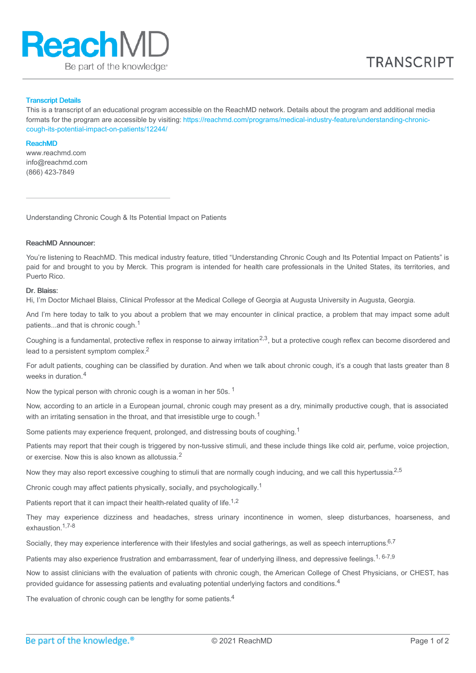

## Transcript Details

This is a transcript of an educational program accessible on the ReachMD network. Details about the program and additional media formats for the program are accessible by visiting: [https://reachmd.com/programs/medical-industry-feature/understanding-chronic](https://reachmd.com/programs/medical-industry-feature/understanding-chronic-cough-its-potential-impact-on-patients/12244/)cough-its-potential-impact-on-patients/12244/

#### ReachMD

www.reachmd.com info@reachmd.com (866) 423-7849

Understanding Chronic Cough & Its Potential Impact on Patients

## ReachMD Announcer:

You're listening to ReachMD. This medical industry feature, titled "Understanding Chronic Cough and Its Potential Impact on Patients" is paid for and brought to you by Merck. This program is intended for health care professionals in the United States, its territories, and Puerto Rico.

### Dr. Blaiss:

Hi, I'm Doctor Michael Blaiss, Clinical Professor at the Medical College of Georgia at Augusta University in Augusta, Georgia.

And I'm here today to talk to you about a problem that we may encounter in clinical practice, a problem that may impact some adult patients...and that is chronic cough.<sup>1</sup>

Coughing is a fundamental, protective reflex in response to airway irritation<sup>2,3</sup>, but a protective cough reflex can become disordered and lead to a persistent symptom complex.<sup>2</sup>

For adult patients, coughing can be classified by duration. And when we talk about chronic cough, it's a cough that lasts greater than 8 weeks in duration. 4

Now the typical person with chronic cough is a woman in her 50s.  $^1$ 

Now, according to an article in a European journal, chronic cough may present as a dry, minimally productive cough, that is associated with an irritating sensation in the throat, and that irresistible urge to cough.<sup>1</sup>

Some patients may experience frequent, prolonged, and distressing bouts of coughing.<sup>1</sup>

Patients may report that their cough is triggered by non-tussive stimuli, and these include things like cold air, perfume, voice projection, or exercise. Now this is also known as allotussia.<sup>2</sup>

Now they may also report excessive coughing to stimuli that are normally cough inducing, and we call this hypertussia.<sup>2,5</sup>

Chronic cough may affect patients physically, socially, and psychologically.<sup>1</sup>

Patients report that it can impact their health-related quality of life.<sup>1,2</sup>

They may experience dizziness and headaches, stress urinary incontinence in women, sleep disturbances, hoarseness, and exhaustion. 1,7-8

Socially, they may experience interference with their lifestyles and social gatherings, as well as speech interruptions.<sup>6,7</sup>

Patients may also experience frustration and embarrassment, fear of underlying illness, and depressive feelings.<sup>1, 6-7,9</sup>

Now to assist clinicians with the evaluation of patients with chronic cough, the American College of Chest Physicians, or CHEST, has provided guidance for assessing patients and evaluating potential underlying factors and conditions.<sup>4</sup>

The evaluation of chronic cough can be lengthy for some patients. $4$